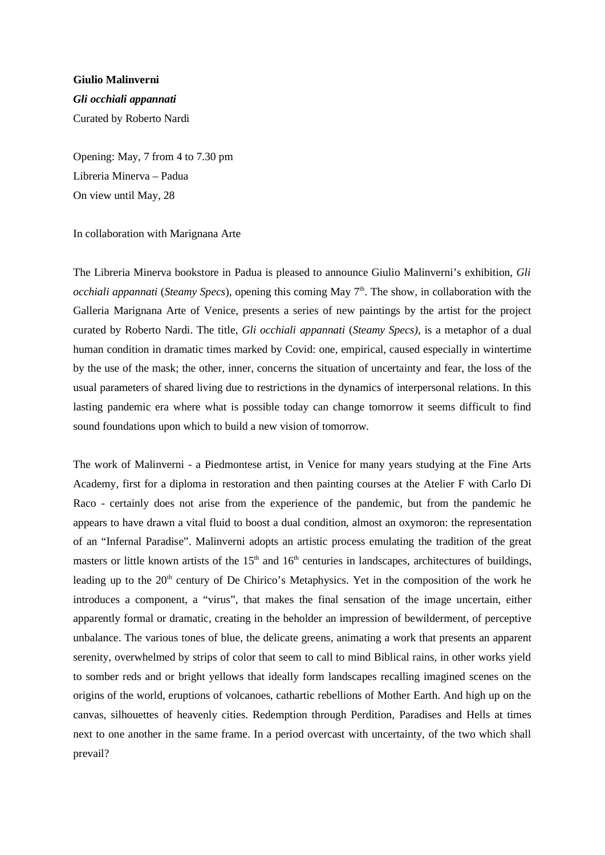Giulio Malinverni Gli occhiali appannati Curated by Roberto Nardi

Opening: May, 7 from 4 to 7.30 pm Libreria Minerva – Padua On view until May, 28

## In collaboration with Marignana Arte

The Libreria Minerva bookstore in Padua is pleased to announce Giulio Malinverni's exhibition, Gli occhiali appannati (Steamy Specs), opening this coming May  $7<sup>th</sup>$ . The show, in collaboration with the Galleria Marignana Arte of Venice, presents a series of new paintings by the artist for the project curated by Roberto Nardi. The title, Gli occhiali appannati (Steamy Specs), is a metaphor of a dual human condition in dramatic times marked by Covid: one, empirical, caused especially in wintertime by the use of the mask; the other, inner, concerns the situation of uncertainty and fear, the loss of the usual parameters of shared living due to restrictions in the dynamics of interpersonal relations. In this lasting pandemic era where what is possible today can change tomorrow it seems difficult to find sound foundations upon which to build a new vision of tomorrow.

The work of Malinverni - a Piedmontese artist, in Venice for many years studying at the Fine Arts Academy, first for a diploma in restoration and then painting courses at the Atelier F with Carlo Di Raco - certainly does not arise from the experience of the pandemic, but from the pandemic he appears to have drawn a vital fluid to boost a dual condition, almost an oxymoron: the representation of an "Infernal Paradise". Malinverni adopts an artistic process emulating the tradition of the great masters or little known artists of the  $15<sup>th</sup>$  and  $16<sup>th</sup>$  centuries in landscapes, architectures of buildings, leading up to the 20<sup>th</sup> century of De Chirico's Metaphysics. Yet in the composition of the work he introduces a component, a "virus", that makes the final sensation of the image uncertain, either apparently formal or dramatic, creating in the beholder an impression of bewilderment, of perceptive unbalance. The various tones of blue, the delicate greens, animating a work that presents an apparent serenity, overwhelmed by strips of color that seem to call to mind Biblical rains, in other works yield to somber reds and or bright yellows that ideally form landscapes recalling imagined scenes on the origins of the world, eruptions of volcanoes, cathartic rebellions of Mother Earth. And high up on the canvas, silhouettes of heavenly cities. Redemption through Perdition, Paradises and Hells at times next to one another in the same frame. In a period overcast with uncertainty, of the two which shall prevail?